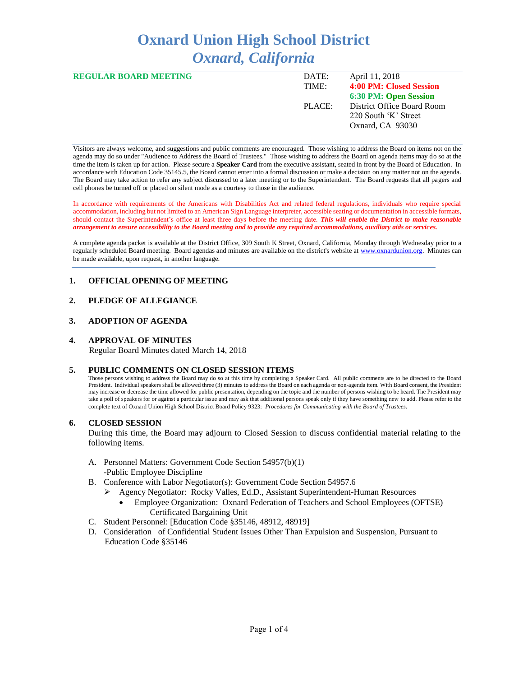# **Oxnard Union High School District** *Oxnard, California*

| <b>REGULAR BOARD MEETING</b> | DATE:  | April 11, 2018             |
|------------------------------|--------|----------------------------|
|                              | TIME:  | 4:00 PM: Closed Session    |
|                              |        | 6:30 PM: Open Session      |
|                              | PLACE: | District Office Board Room |
|                              |        | 220 South 'K' Street       |
|                              |        | Oxnard, CA 93030           |
|                              |        |                            |

Visitors are always welcome, and suggestions and public comments are encouraged. Those wishing to address the Board on items not on the agenda may do so under "Audience to Address the Board of Trustees." Those wishing to address the Board on agenda items may do so at the time the item is taken up for action. Please secure a **Speaker Card** from the executive assistant, seated in front by the Board of Education. In accordance with Education Code 35145.5, the Board cannot enter into a formal discussion or make a decision on any matter not on the agenda. The Board may take action to refer any subject discussed to a later meeting or to the Superintendent. The Board requests that all pagers and cell phones be turned off or placed on silent mode as a courtesy to those in the audience.

In accordance with requirements of the Americans with Disabilities Act and related federal regulations, individuals who require special accommodation, including but not limited to an American Sign Language interpreter, accessible seating or documentation in accessible formats, should contact the Superintendent's office at least three days before the meeting date. *This will enable the District to make reasonable arrangement to ensure accessibility to the Board meeting and to provide any required accommodations, auxiliary aids or services.* 

A complete agenda packet is available at the District Office, 309 South K Street, Oxnard, California, Monday through Wednesday prior to a regularly scheduled Board meeting. Board agendas and minutes are available on the district's website a[t www.ox](http://www.o/)nardunion.org.Minutes can be made available, upon request, in another language.

## **1. OFFICIAL OPENING OF MEETING**

# **2. PLEDGE OF ALLEGIANCE**

## **3. ADOPTION OF AGENDA**

#### **4. APPROVAL OF MINUTES**

Regular Board Minutes dated March 14, 2018

#### **5. PUBLIC COMMENTS ON CLOSED SESSION ITEMS**

Those persons wishing to address the Board may do so at this time by completing a Speaker Card. All public comments are to be directed to the Board President. Individual speakers shall be allowed three (3) minutes to address the Board on each agenda or non-agenda item. With Board consent, the President may increase or decrease the time allowed for public presentation, depending on the topic and the number of persons wishing to be heard. The President may take a poll of speakers for or against a particular issue and may ask that additional persons speak only if they have something new to add. Please refer to the complete text of Oxnard Union High School District Board Policy 9323: *Procedures for Communicating with the Board of Trustees*.

## **6. CLOSED SESSION**

During this time, the Board may adjourn to Closed Session to discuss confidential material relating to the following items.

- A. Personnel Matters: Government Code Section 54957(b)(1) -Public Employee Discipline
- B. Conference with Labor Negotiator(s): Government Code Section 54957.6
	- ➢ Agency Negotiator: Rocky Valles, Ed.D., Assistant Superintendent-Human Resources
		- Employee Organization: Oxnard Federation of Teachers and School Employees (OFTSE) – Certificated Bargaining Unit
- C. Student Personnel: [Education Code §35146, 48912, 48919]
- D. Consideration of Confidential Student Issues Other Than Expulsion and Suspension, Pursuant to Education Code §35146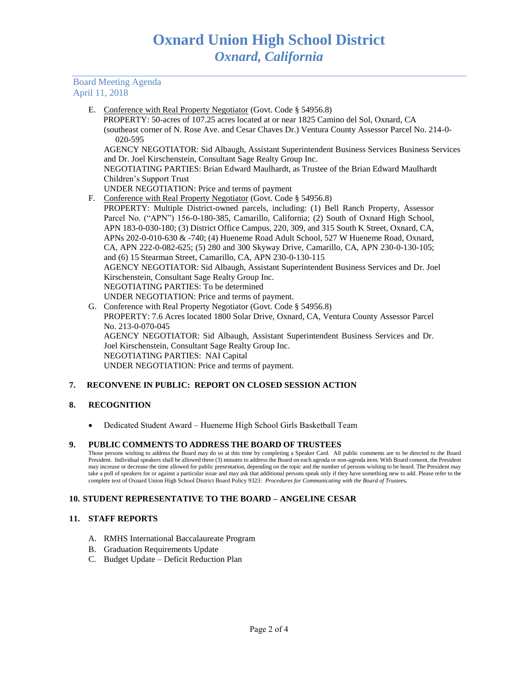## Board Meeting Agenda April 11, 2018

E. Conference with Real Property Negotiator (Govt. Code § 54956.8)

 PROPERTY: 50-acres of 107.25 acres located at or near 1825 Camino del Sol, Oxnard, CA (southeast corner of N. Rose Ave. and Cesar Chaves Dr.) Ventura County Assessor Parcel No. 214-0- 020-595

AGENCY NEGOTIATOR: Sid Albaugh, Assistant Superintendent Business Services Business Services and Dr. Joel Kirschenstein, Consultant Sage Realty Group Inc.

NEGOTIATING PARTIES: Brian Edward Maulhardt, as Trustee of the Brian Edward Maulhardt Children's Support Trust

- UNDER NEGOTIATION: Price and terms of payment
- F. Conference with Real Property Negotiator (Govt. Code § 54956.8)
- PROPERTY: Multiple District-owned parcels, including: (1) Bell Ranch Property, Assessor Parcel No. ("APN") 156-0-180-385, Camarillo, California; (2) South of Oxnard High School, APN 183-0-030-180; (3) District Office Campus, 220, 309, and 315 South K Street, Oxnard, CA, APNs 202-0-010-630 & -740; (4) Hueneme Road Adult School, 527 W Hueneme Road, Oxnard, CA, APN 222-0-082-625; (5) 280 and 300 Skyway Drive, Camarillo, CA, APN 230-0-130-105; and (6) 15 Stearman Street, Camarillo, CA, APN 230-0-130-115 AGENCY NEGOTIATOR: Sid Albaugh, Assistant Superintendent Business Services and Dr. Joel Kirschenstein, Consultant Sage Realty Group Inc. NEGOTIATING PARTIES: To be determined UNDER NEGOTIATION: Price and terms of payment.
- G. Conference with Real Property Negotiator (Govt. Code § 54956.8) PROPERTY: 7.6 Acres located 1800 Solar Drive, Oxnard, CA, Ventura County Assessor Parcel No. 213-0-070-045 AGENCY NEGOTIATOR: Sid Albaugh, Assistant Superintendent Business Services and Dr. Joel Kirschenstein, Consultant Sage Realty Group Inc. NEGOTIATING PARTIES: NAI Capital UNDER NEGOTIATION: Price and terms of payment.

# **7. RECONVENE IN PUBLIC: REPORT ON CLOSED SESSION ACTION**

## **8. RECOGNITION**

• Dedicated Student Award – Hueneme High School Girls Basketball Team

## **9. PUBLIC COMMENTS TO ADDRESS THE BOARD OF TRUSTEES**

Those persons wishing to address the Board may do so at this time by completing a Speaker Card. All public comments are to be directed to the Board President. Individual speakers shall be allowed three (3) minutes to address the Board on each agenda or non-agenda item. With Board consent, the President may increase or decrease the time allowed for public presentation, depending on the topic and the number of persons wishing to be heard. The President may take a poll of speakers for or against a particular issue and may ask that additional persons speak only if they have something new to add. Please refer to the complete text of Oxnard Union High School District Board Policy 9323: *Procedures for Communicating with the Board of Trustees.*

## **10. STUDENT REPRESENTATIVE TO THE BOARD – ANGELINE CESAR**

## **11. STAFF REPORTS**

- A. RMHS International Baccalaureate Program
- B. Graduation Requirements Update
- C. Budget Update Deficit Reduction Plan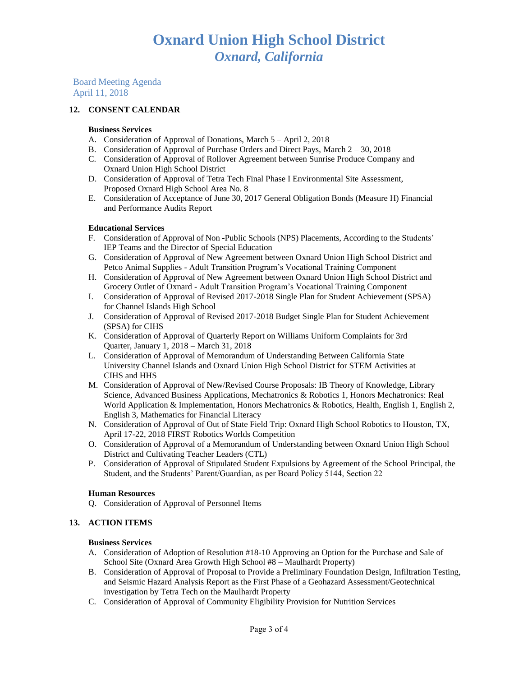Board Meeting Agenda April 11, 2018

## **12. CONSENT CALENDAR**

#### **Business Services**

- A. Consideration of Approval of Donations, March 5 April 2, 2018
- B. Consideration of Approval of Purchase Orders and Direct Pays, March 2 30, 2018
- C. Consideration of Approval of Rollover Agreement between Sunrise Produce Company and Oxnard Union High School District
- D. Consideration of Approval of Tetra Tech Final Phase I Environmental Site Assessment, Proposed Oxnard High School Area No. 8
- E. Consideration of Acceptance of June 30, 2017 General Obligation Bonds (Measure H) Financial and Performance Audits Report

#### **Educational Services**

- F. Consideration of Approval of Non -Public Schools (NPS) Placements, According to the Students' IEP Teams and the Director of Special Education
- G. Consideration of Approval of New Agreement between Oxnard Union High School District and Petco Animal Supplies - Adult Transition Program's Vocational Training Component
- H. Consideration of Approval of New Agreement between Oxnard Union High School District and Grocery Outlet of Oxnard - Adult Transition Program's Vocational Training Component
- I. Consideration of Approval of Revised 2017-2018 Single Plan for Student Achievement (SPSA) for Channel Islands High School
- J. Consideration of Approval of Revised 2017-2018 Budget Single Plan for Student Achievement (SPSA) for CIHS
- K. Consideration of Approval of Quarterly Report on Williams Uniform Complaints for 3rd Quarter, January 1, 2018 – March 31, 2018
- L. Consideration of Approval of Memorandum of Understanding Between California State University Channel Islands and Oxnard Union High School District for STEM Activities at CIHS and HHS
- M. Consideration of Approval of New/Revised Course Proposals: IB Theory of Knowledge, Library Science, Advanced Business Applications, Mechatronics & Robotics 1, Honors Mechatronics: Real World Application & Implementation, Honors Mechatronics & Robotics, Health, English 1, English 2, English 3, Mathematics for Financial Literacy
- N. Consideration of Approval of Out of State Field Trip: Oxnard High School Robotics to Houston, TX, April 17-22, 2018 FIRST Robotics Worlds Competition
- O. Consideration of Approval of a Memorandum of Understanding between Oxnard Union High School District and Cultivating Teacher Leaders (CTL)
- P. Consideration of Approval of Stipulated Student Expulsions by Agreement of the School Principal, the Student, and the Students' Parent/Guardian, as per Board Policy 5144, Section 22

## **Human Resources**

Q. Consideration of Approval of Personnel Items

## **13. ACTION ITEMS**

#### **Business Services**

- A. Consideration of Adoption of Resolution #18-10 Approving an Option for the Purchase and Sale of School Site (Oxnard Area Growth High School #8 – Maulhardt Property)
- B. Consideration of Approval of Proposal to Provide a Preliminary Foundation Design, Infiltration Testing, and Seismic Hazard Analysis Report as the First Phase of a Geohazard Assessment/Geotechnical investigation by Tetra Tech on the Maulhardt Property
- C. Consideration of Approval of Community Eligibility Provision for Nutrition Services